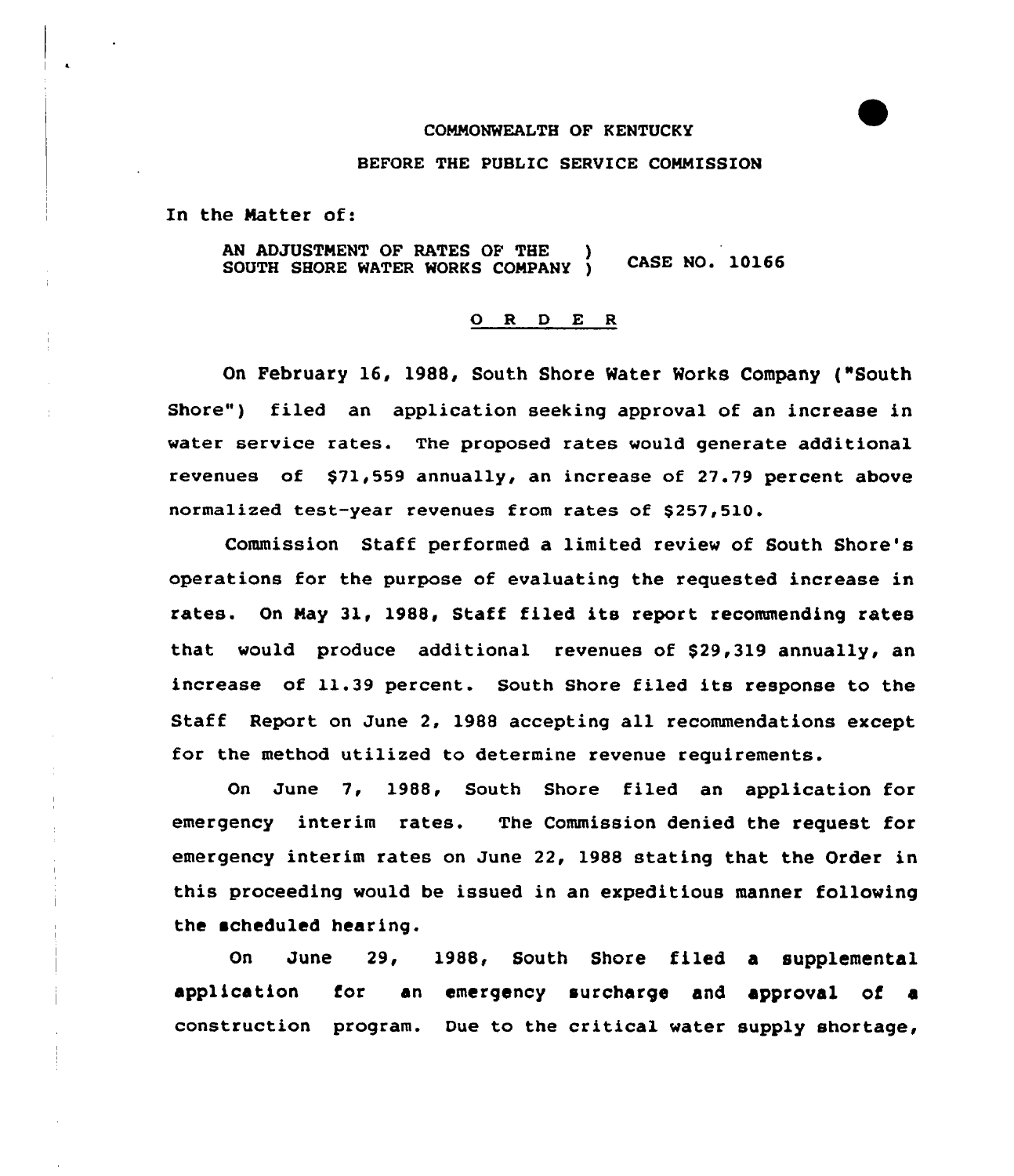# COMMONWEALTH OF KENTUCKY

#### BEFORE THE PUBLIC SERVICE COMMISSION

In the Natter of:

AN ADJUSTMENT OF RATES OF THE SOUTH SHORE WATER WORKS COMPANY ) CASE NO. 10166

# O R D E R

On February 16, 1988, South Shore Water Works Company ("South Shore") filed an application seeking approval of an increase in water service rates. The proposed rates would generate additional revenues of \$71,559 annually, an increase of 27.79 percent above normalized test-year revenues from rates of \$257,510.

Commission Staff performed a limited review of South Shore's operations for the purpose of evaluating the requested increase in rates. On Nay 31, 1988, Staff filed its report recommending rates that would produce additional revenues of \$29,319 annually, an increase of 11.39 percent. South Shore filed its response to the Staff Report on June 2, 1988 accepting all recommendations except for the method utilized to determine revenue requirements.

On June 7, 1988, South Shore filed an application for emergency interim rates. The Commission denied the request for emergency interim rates on June 22, 1988 stating that the Order in this proceeding would be issued in an expeditious manner following the scheduled hearing.

On June 29, 1988, South Shore filed a supplemental application for an emergency surcharge and approval of a construction program. Due to the critical water supply shortage,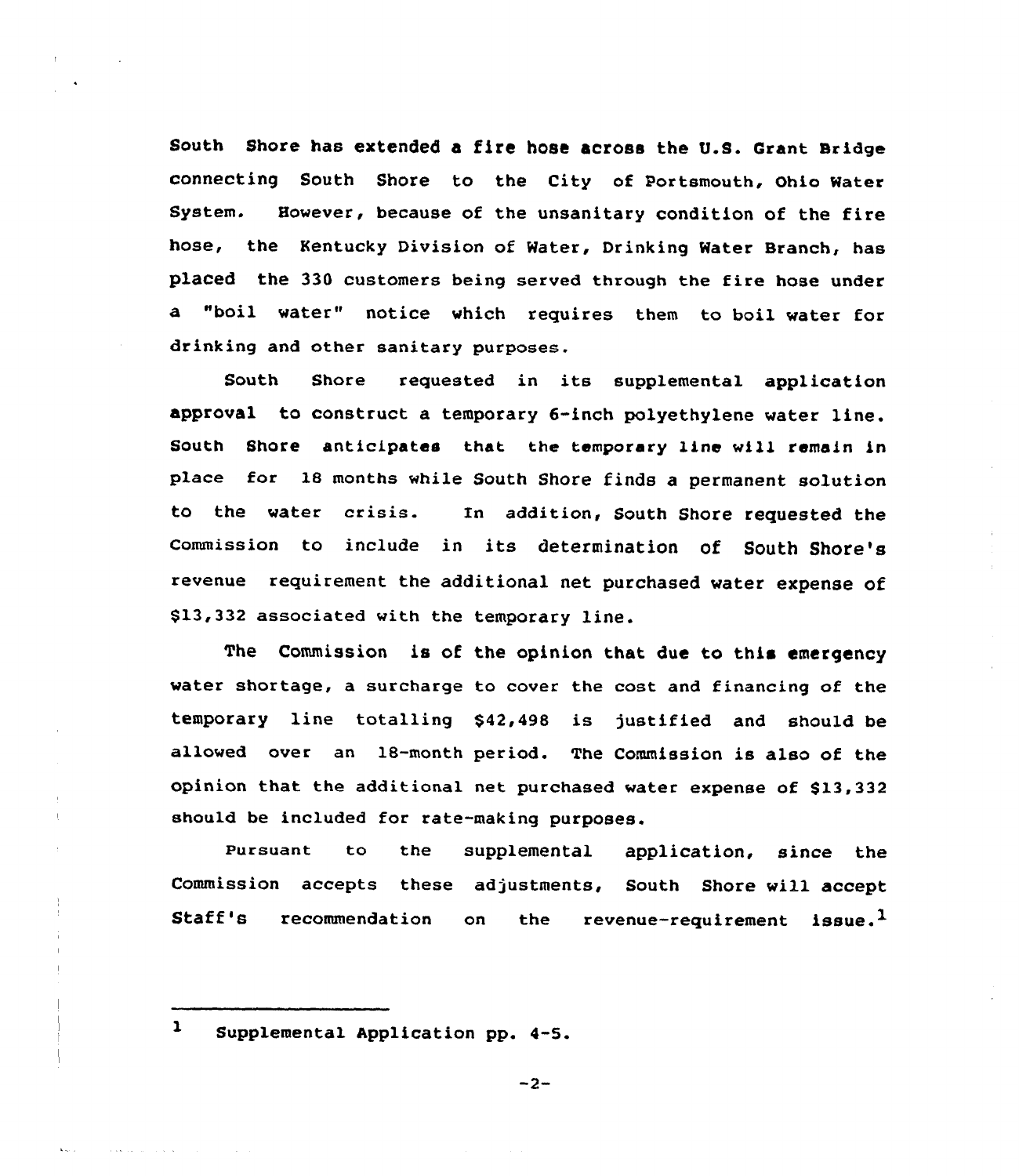South Shore has extended a fire hose across the U.S. Grant Bridge connecting South shore to the city of portsmouth, ohio water System. However, because of the unsanitary condition of the fire hose, the Kentucky Division of Water, Drinking Water Branch, has placed the 330 customers being served through the fire hose under a "boil water" notice which requires them to boil water for drinking and other sanitary purposes.

South Shore requested in its supplemental application approval to construct a temporary 6-inch polyethylene water line. South Shore anticipates that the temporary line will remain in place for 18 months while South Shore finds a permanent solution to the water crisis. In addition< South Shore requested the commission to include in its determination of South Shore's revenue requirement the additional net purchased water expense of \$13,332 associated with the temporary line.

The Commission is of the opinion that due to this emergency water shortage, a surcharge to cover the cost and financing of the temporary line totalling \$42,498 is justified and should be allowed over an 18-month period. The Commission is also of the opinion that the additional net purchased water expense of  $$13,332$ should be included for rate-making purposes.

Pursuant to the supplemental application, since the Commission accepts these adjustments, South Shore will accept Staff's recommendation on the revenue-requirement issue.<sup>1</sup>

 $\mathbf{1}$ 

والوالي المتعورين

Supplemental Application pp. 4-5.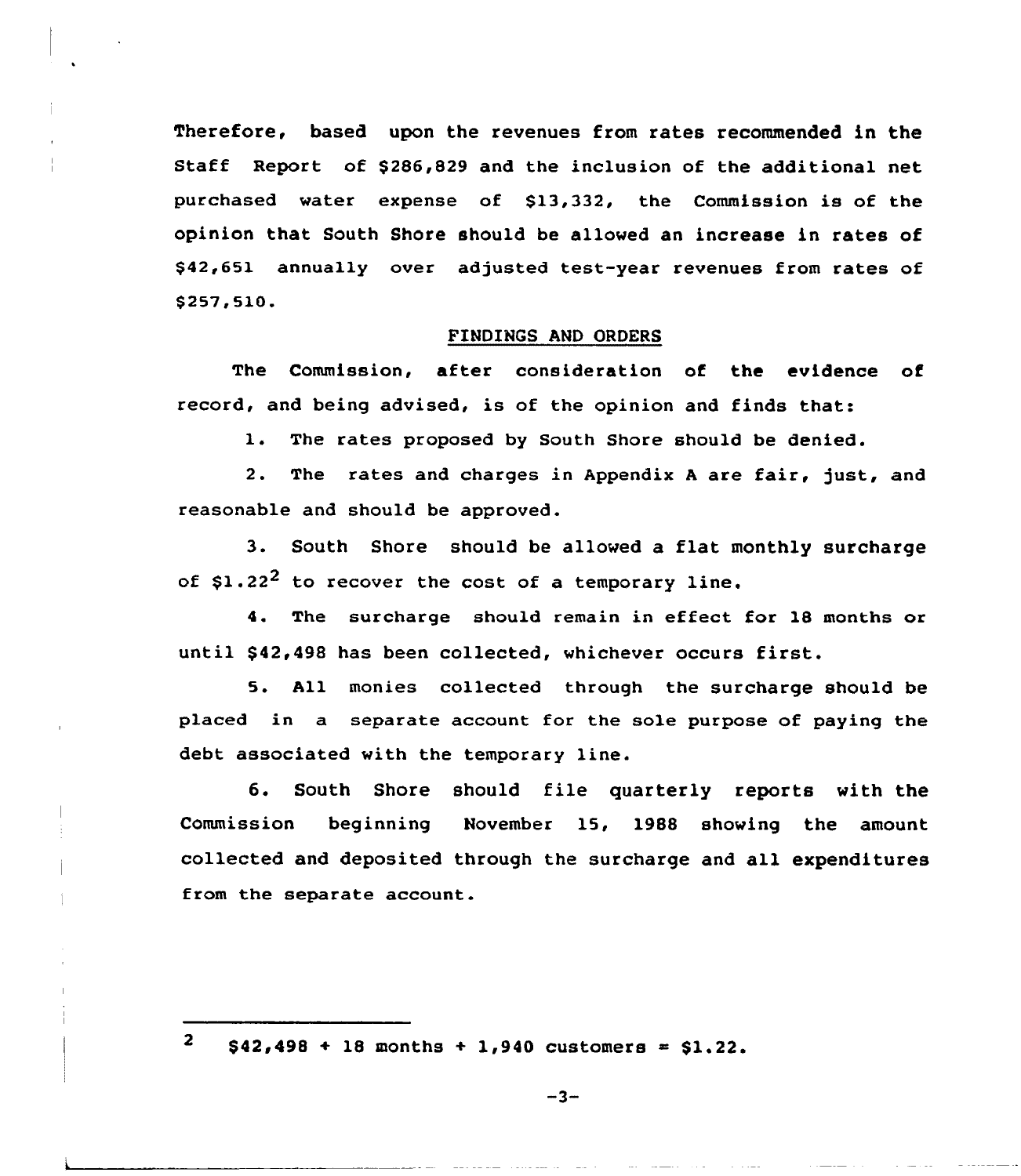Therefore, based upon the revenues from rates recommended in the Staff Report of \$286,829 and the inclusion of the additional net purchased water expense of \$13,332, the Commission is of the opinion that South Shore should be allowed an increase in rates of \$42,651 annually over adjusted test-year revenues from rates of \$ 257,510.

## FINDINGS AND ORDERS

The Commission, after consideration of the evidence of record, and being advised, is of the opinion and finds that:

1. The rates proposed by South Shore should be denied.

2. The rates and charges in Appendix A are fair, just, and reasonable and should be approved.

3. South Shore should be allowed a flat monthly surcharge of  $$1.22^2$  to recover the cost of a temporary line.

4. The surcharge should remain in effect for 18 months or until \$42,498 has been collected, whichever occurs first.

5. All monies collected through the surcharge should be placed in a separate account for the sole purpose of paying the debt associated with the temporary line.

6. South Shore should file quarterly reports with the Commission beginning November 15, 1988 showing the amount collected and deposited through the surcharge and all expenditures from the separate account.

 $\mathbf{2}$  $$42,498 + 18$  months + 1,940 customers = \$1.22.

 $-3-$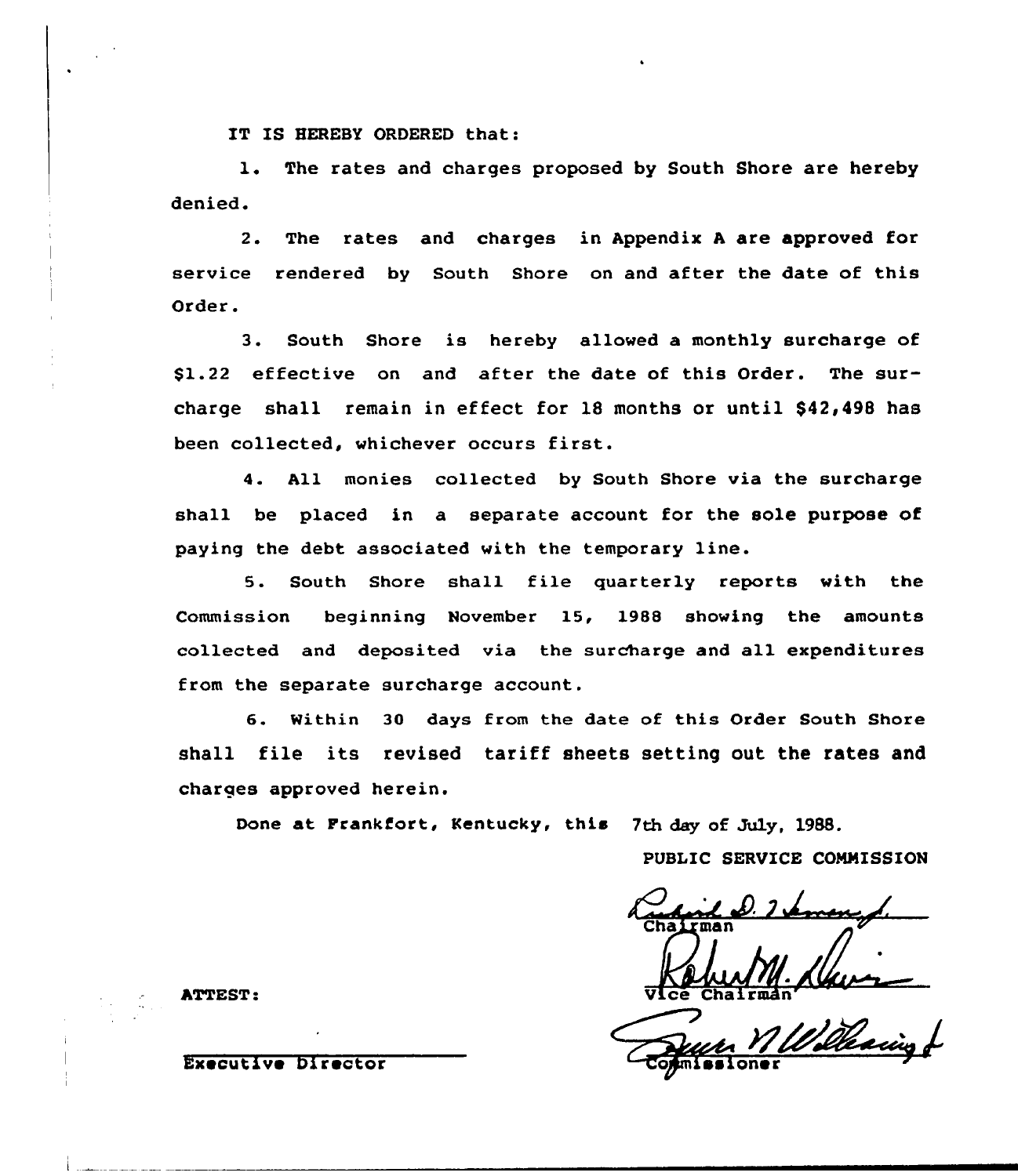IT IS HEREBY ORDERED that:

1. The rates and charges proposed by South Shore are hereby denied.

2. The rates and charges in Appendix <sup>A</sup> are approved for service rendered by South Shore on and after the date of this Order.

3. South Shore is hereby allowed a monthly surcharge of \$1.22 effective on and after the date of this Order. The surcharge shall remain in effect for 18 months or until \$42,498 has been collected, whichever occurs first.

4. All monies collected by South Shore via the surcharge shall be placed in a separate account for the sole purpose of paying the debt associated with the temporary line.

5. South Shore shall file quarterly reports with the Commission beginning November 15, 1988 showing the amounts collected and deposited via the surcharge and all expenditures from the separate surcharge account.

6. Within 30 days from the date of this Order South Shore shall file its revised tariff sheets setting out the rates and charges approved herein.

Done at Frankfort, Kentucky, this 7th day of July, 1988.

PUBLIC SERVICE COMMISSION

ATTEST:  $\overline{V1}$ ce Chairman

Executive Director